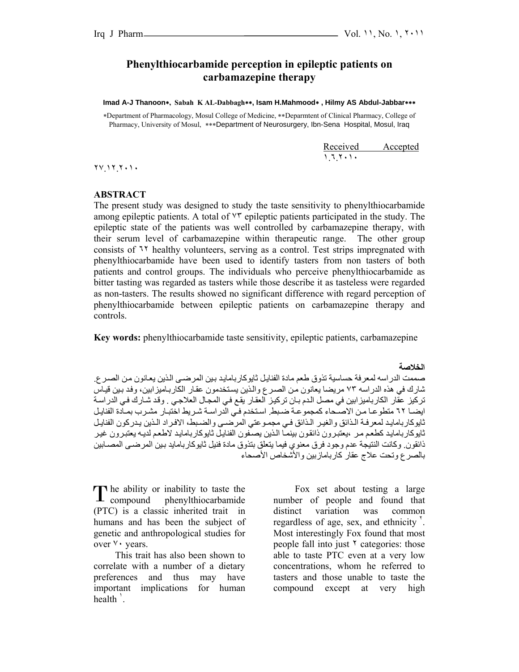## **Phenylthiocarbamide perception in epileptic patients on carbamazepine therapy**

**Imad A-J Thanoon**∗**, Sabah K AL-Dabbagh**∗∗**, Isam H.Mahmood**∗ **, Hilmy AS Abdul-Jabbar**∗∗∗

∗Department of Pharmacology, Mosul College of Medicine, ∗∗Deparmtent of Clinical Pharmacy, College of Pharmacy, University of Mosul, ∗∗∗Department of Neurosurgery, Ibn-Sena Hospital, Mosul, Iraq

Received Accepted ١.٦.٢٠١٠

٢٧.١٢.٢٠١٠

#### **ABSTRACT**

The present study was designed to study the taste sensitivity to phenylthiocarbamide among epileptic patients. A total of ٧٣ epileptic patients participated in the study. The epileptic state of the patients was well controlled by carbamazepine therapy, with their serum level of carbamazepine within therapeutic range. The other group consists of  $\mathcal{N}$  healthy volunteers, serving as a control. Test strips impregnated with phenylthiocarbamide have been used to identify tasters from non tasters of both patients and control groups. The individuals who perceive phenylthiocarbamide as bitter tasting was regarded as tasters while those describe it as tasteless were regarded as non-tasters. The results showed no significant difference with regard perception of phenylthiocarbamide between epileptic patients on carbamazepine therapy and controls.

 **Key words:** phenylthiocarbamide taste sensitivity, epileptic patients, carbamazepine

**الخلاصة** 

صممت الدر اسه لمعرفة حساسية تذوق طعم مادة الفنايل ثايوكار بامايد بين المرضمي الذين يعانون من الصرع. شارك في هذه الدراسه ٧٣ مريضا يعانون من الصرع والذين يستخدمون عقار الكاربـاميزابين، وفد بين قيـاس تركيز عقار الكارباميزابين في مصل الدم بـان تركيز العقار يقع في المجال العلاجي . وقد شـارك في الدراسة ايضا ٦٢ متطوعا من الاصحاء كمجموعة ضبط. استخدم في الدراسة شريط اختبار مشرب بمـادة الفنايل ثايوكاربامايد لمعرفة الذائق والغير الذائق فمي مجموعتي المرضمي والضبط، الافراد الذين يدركون الفنايل ثايوكاربامايد كطعم مر ،يعتبرون ذائقون بينمـا الذين يصـفون الفنايل ثايوكاربامايد لاطعم لديـه يعتبرون غير ذائقون. وكانت النتيجة عدم وجود فرق معنوي فيما يتعلق بتذوق مادة فنيل ثايوكاربامايد بين المرضىي المصـابين بالصرع وتحت علاج عقار كاربامازبين والأشخاص الأصحاء

he ability or inability to taste the The ability or inability to taste the compound phenylthiocarbamide (PTC) is a classic inherited trait in humans and has been the subject of genetic and anthropological studies for over ٧٠ years.

This trait has also been shown to correlate with a number of a dietary preferences and thus may have important implications for human  $health$ <sup> $\lceil$ </sup>.

Fox set about testing a large number of people and found that distinct variation was common regardless of age, sex, and ethnicity<sup> $\cdot$ </sup>. Most interestingly Fox found that most people fall into just  $\gamma$  categories: those able to taste PTC even at a very low concentrations, whom he referred to tasters and those unable to taste the compound except at very high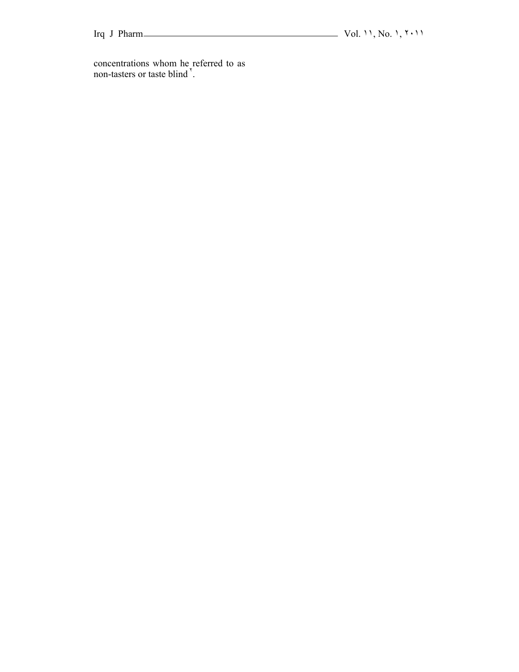concentrations whom he referred to as non-tasters or taste blind<sup>'</sup>.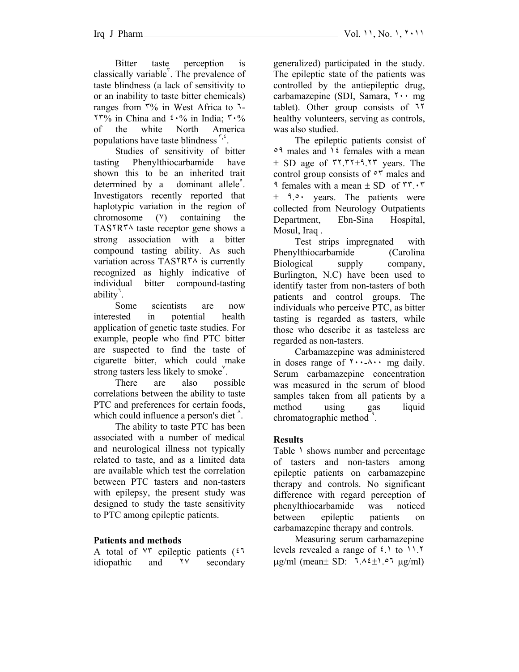Bitter taste perception is classically variable<sup>r</sup>. The prevalence of taste blindness (a lack of sensitivity to or an inability to taste bitter chemicals) ranges from ٣% in West Africa to ٦-  $17\%$  in China and  $2.6\%$  in India;  $7.6\%$ of the white North America populations have taste blindness  $\zeta$ .

Studies of sensitivity of bitter tasting Phenylthiocarbamide have shown this to be an inherited trait determined by a dominant allele<sup>°</sup>. Investigators recently reported that haplotypic variation in the region of chromosome  $(V)$  containing the TAS٢R٣٨ taste receptor gene shows a strong association with a bitter compound tasting ability. As such variation across TAS٢R٣٨ is currently recognized as highly indicative of individual bitter compound-tasting ability<sup>7</sup>.

Some scientists are now interested in potential health application of genetic taste studies. For example, people who find PTC bitter are suspected to find the taste of cigarette bitter, which could make strong tasters less likely to smoke<sup>Y</sup>.

There are also possible correlations between the ability to taste PTC and preferences for certain foods, which could influence a person's diet  $\hat{ }$ .

The ability to taste PTC has been associated with a number of medical and neurological illness not typically related to taste, and as a limited data are available which test the correlation between PTC tasters and non-tasters with epilepsy, the present study was designed to study the taste sensitivity to PTC among epileptic patients.

# **Patients and methods**

A total of ٧٣ epileptic patients (٤٦ idiopathic and ٢٧ secondary generalized) participated in the study. The epileptic state of the patients was controlled by the antiepileptic drug, carbamazepine (SDI, Samara, ٢٠٠ mg tablet). Other group consists of ٦٢ healthy volunteers, serving as controls, was also studied.

The epileptic patients consist of ٥٩ males and ١٤ females with a mean  $\pm$  SD age of  $\tau$ 7.  $\tau$ <sub>1</sub>.  $\tau$ <sub>7</sub> years. The control group consists of ٥٣ males and  $\gamma$  females with a mean  $\pm$  SD of  $\Gamma\Gamma$ .  $\pm$  9.0. years. The patients were collected from Neurology Outpatients Department, Ebn-Sina Hospital, Mosul, Iraq .

Test strips impregnated with Phenylthiocarbamide (Carolina Biological supply company, Burlington, N.C) have been used to identify taster from non-tasters of both patients and control groups. The individuals who perceive PTC, as bitter tasting is regarded as tasters, while those who describe it as tasteless are regarded as non-tasters.

Carbamazepine was administered in doses range of  $\forall \cdots \forall x$  mg daily. Serum carbamazepine concentration was measured in the serum of blood samples taken from all patients by a method using gas liquid chromatographic method<sup>9</sup>.

# **Results**

Table 1 shows number and percentage of tasters and non-tasters among epileptic patients on carbamazepine therapy and controls. No significant difference with regard perception of phenylthiocarbamide was noticed between epileptic patients on carbamazepine therapy and controls.

Measuring serum carbamazepine levels revealed a range of ٤.١ to ١١.٢  $\mu$ g/ml (mean  $\pm$  SD:  $7.12 \pm 1.07$   $\mu$ g/ml)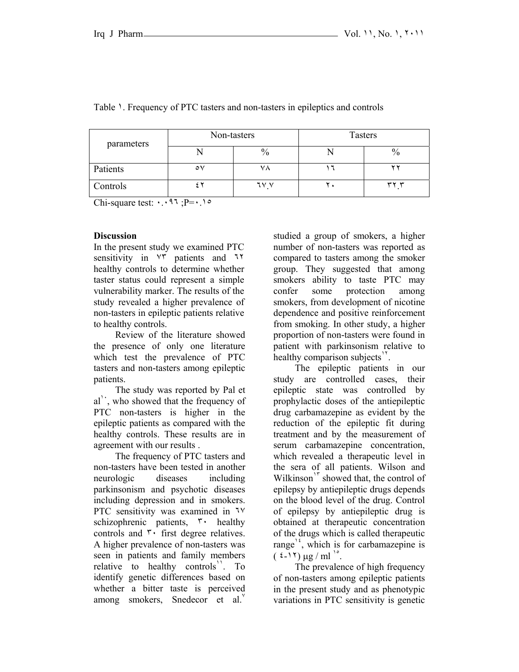| parameters | Non-tasters |               | <b>Tasters</b> |    |
|------------|-------------|---------------|----------------|----|
|            |             | $\frac{0}{0}$ |                |    |
| Patients   | ٥٧          |               |                |    |
| Controls   |             | 7 V V         |                | ~~ |

### Table 1. Frequency of PTC tasters and non-tasters in epileptics and controls

Chi-square test: ٠.٠٩٦ ;P=٠.١٥

### **Discussion**

In the present study we examined PTC sensitivity in ٧٣ patients and ٦٢ healthy controls to determine whether taster status could represent a simple vulnerability marker. The results of the study revealed a higher prevalence of non-tasters in epileptic patients relative to healthy controls.

Review of the literature showed the presence of only one literature which test the prevalence of PTC tasters and non-tasters among epileptic patients.

The study was reported by Pal et  $al'$ , who showed that the frequency of PTC non-tasters is higher in the epileptic patients as compared with the healthy controls. These results are in agreement with our results .

The frequency of PTC tasters and non-tasters have been tested in another neurologic diseases including parkinsonism and psychotic diseases including depression and in smokers. PTC sensitivity was examined in  $1$ <sup>V</sup> schizophrenic patients, ٣٠ healthy controls and ٣٠ first degree relatives. A higher prevalence of non-tasters was seen in patients and family members relative to healthy controls<sup>1</sup>. To identify genetic differences based on whether a bitter taste is perceived among smokers, Snedecor et al.

studied a group of smokers, a higher number of non-tasters was reported as compared to tasters among the smoker group. They suggested that among smokers ability to taste PTC may confer some protection among smokers, from development of nicotine dependence and positive reinforcement from smoking. In other study, a higher proportion of non-tasters were found in patient with parkinsonism relative to healthy comparison subjects<sup>1</sup>.

The epileptic patients in our study are controlled cases, their epileptic state was controlled by prophylactic doses of the antiepileptic drug carbamazepine as evident by the reduction of the epileptic fit during treatment and by the measurement of serum carbamazepine concentration, which revealed a therapeutic level in the sera of all patients. Wilson and Wilkinson<sup>1</sup> showed that, the control of epilepsy by antiepileptic drugs depends on the blood level of the drug. Control of epilepsy by antiepileptic drug is obtained at therapeutic concentration of the drugs which is called therapeutic range<sup> $12$ </sup>, which is for carbamazepine is  $($  { - 1  $\gamma$  )  $\mu$ g / ml<sup>1°</sup>.

The prevalence of high frequency of non-tasters among epileptic patients in the present study and as phenotypic variations in PTC sensitivity is genetic